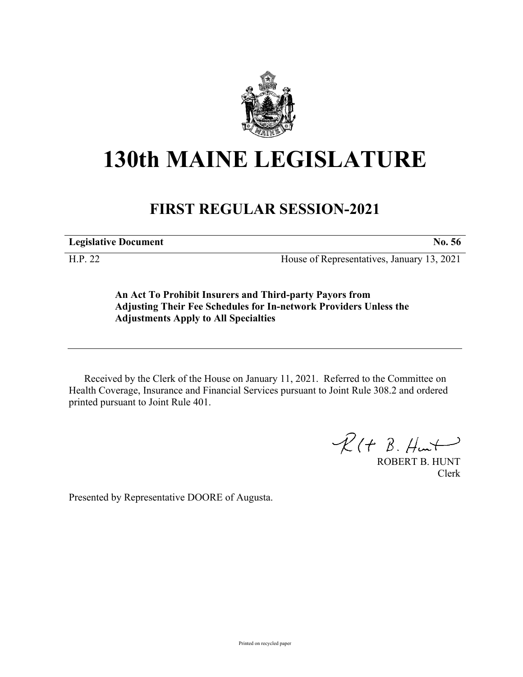

## **130th MAINE LEGISLATURE**

## **FIRST REGULAR SESSION-2021**

**Legislative Document No. 56**

H.P. 22 House of Representatives, January 13, 2021

**An Act To Prohibit Insurers and Third-party Payors from Adjusting Their Fee Schedules for In-network Providers Unless the Adjustments Apply to All Specialties**

Received by the Clerk of the House on January 11, 2021. Referred to the Committee on Health Coverage, Insurance and Financial Services pursuant to Joint Rule 308.2 and ordered printed pursuant to Joint Rule 401.

 $R(H B. H<sub>un</sub>)$ 

ROBERT B. HUNT Clerk

Presented by Representative DOORE of Augusta.